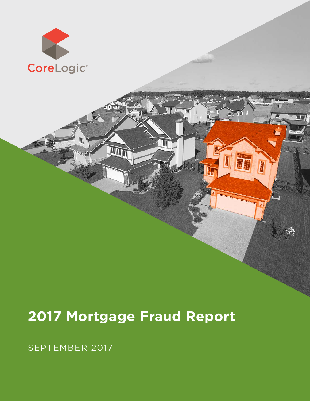

# **2017 Mortgage Fraud Report**

**LITTIT** 

பு ம

SEPTEMBER 2017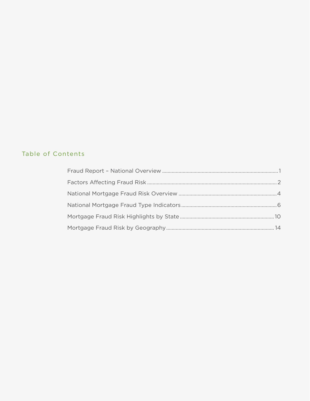#### Table of Contents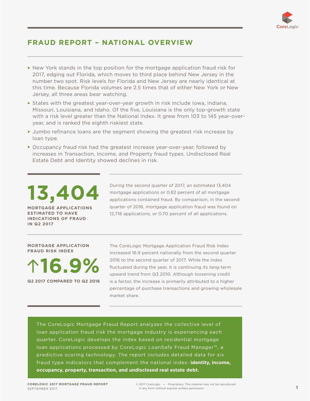

## <span id="page-2-0"></span>**FRAUD REPORT – NATIONAL OVERVIEW**

- ► New York stands in the top position for the mortgage application fraud risk for 2017, edging out Florida, which moves to third place behind New Jersey in the number two spot. Risk levels for Florida and New Jersey are nearly identical at this time. Because Florida volumes are 2.5 times that of either New York or New Jersey, all three areas bear watching.
- ► States with the greatest year-over-year growth in risk include Iowa, Indiana, Missouri, Louisiana, and Idaho. Of the five, Louisiana is the only top-growth state with a risk level greater than the National Index. It grew from 103 to 145 year-overyear, and is ranked the eighth riskiest state.
- ► Jumbo refinance loans are the segment showing the greatest risk increase by loan type.
- ► Occupancy fraud risk had the greatest increase year-over-year, followed by increases in Transaction, Income, and Property fraud types. Undisclosed Real Estate Debt and Identity showed declines in risk.

**13,404**

**MORTGAGE APPLICATIONS ESTIMATED TO HAVE INDICATIONS OF FRAUD IN Q2 2017**

During the second quarter of 2017, an estimated 13,404 mortgage applications or 0.82 percent of all mortgage applications contained fraud. By comparison, in the second quarter of 2016, mortgage application fraud was found on 12,718 applications, or 0.70 percent of all applications.

**MORTGAGE APPLICATION FRAUD RISK INDEX**

**16.9% Q2 2017 COMPARED TO Q2 2016** The CoreLogic Mortgage Application Fraud Risk Index increased 16.9 percent nationally from the second quarter 2016 to the second quarter of 2017. While the index fluctuated during the year, it is continuing its long-term upward trend from Q3 2010. Although loosening credit is a factor, the increase is primarily attributed to a higher percentage of purchase transactions and growing wholesale market share.

The CoreLogic Mortgage Fraud Report analyzes the collective level of loan application fraud risk the mortgage industry is experiencing each quarter. CoreLogic develops the index based on residential mortgage loan applications processed by CoreLogic LoanSafe Fraud Manager™, a predictive scoring technology. The report includes detailed data for six fraud type indicators that complement the national index: **identity, income, occupancy, property, transaction, and undisclosed real estate debt.**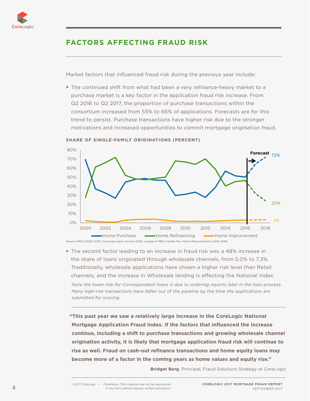<span id="page-3-0"></span>

### **FACTORS AFFECTING FRAUD RISK**

Market factors that influenced fraud risk during the previous year include:

► The continued shift from what had been a very refinance-heavy market to a purchase market is a key factor in the application fraud risk increase. From Q2 2016 to Q2 2017, the proportion of purchase transactions within the consortium increased from 55% to 66% of applications. Forecasts are for this trend to persist. Purchase transactions have higher risk due to the stronger motivations and increased opportunities to commit mortgage origination fraud.



**SHARE OF SINGLE-FAMILY ORIGINATIONS (PERCENT)**

Source: HMDA (2000–2015), CoreLogic public records (2016), average of MBA, Freddie Mac, Fannie Mae projections (2016–2018).

► The second factor leading to an increase in fraud risk was a 48% increase in the share of loans originated through wholesale channels, from 5.0% to 7.3%. Traditionally, wholesale applications have shown a higher risk level than Retail channels, and the increase in Wholesale lending is affecting the National Index.

*Note the lower risk for Correspondent loans is due to ordering reports later in the loan process. Many high-risk transactions have fallen out of the pipeline by the time the applications are submitted for scoring.*

**"This past year we saw a relatively large increase in the CoreLogic National Mortgage Application Fraud Index. If the factors that influenced the increase continue, including a shift to purchase transactions and growing wholesale channel origination activity, it is likely that mortgage application fraud risk will continue to**  rise as well. Fraud on cash-out refinance transactions and home equity loans may **become more of a factor in the coming years as home values and equity rise."**

**Bridget Berg**, Principal, Fraud Solutions Strategy at CoreLogic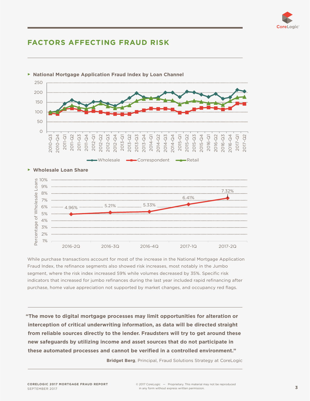

### **FACTORS AFFECTING FRAUD RISK**



#### ► **National Mortgage Application Fraud Index by Loan Channel**



#### 10% Percentage of Wholesale Loans Percentage of Wholesale Loa 9% 7.32% 8% 6.41% 7% 4.96% 5.21% 5.33% 6% 5% 4% 3% 2% 1% 2016-2Q 2016-3Q 2016-4Q 2017-1Q 2017-2Q

#### ► **Wholesale Loan Share**

While purchase transactions account for most of the increase in the National Mortgage Application Fraud Index, the refinance segments also showed risk increases, most notably in the Jumbo segment, where the risk index increased 59% while volumes decreased by 35%. Specific risk indicators that increased for jumbo refinances during the last year included rapid refinancing after purchase, home value appreciation not supported by market changes, and occupancy red flags.

**"The move to digital mortgage processes may limit opportunities for alteration or interception of critical underwriting information, as data will be directed straight from reliable sources directly to the lender. Fraudsters will try to get around these new safeguards by utilizing income and asset sources that do not participate in these automated processes and cannot be verified in a controlled environment."**

**Bridget Berg**, Principal, Fraud Solutions Strategy at CoreLogic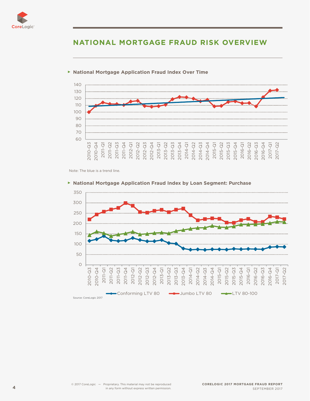<span id="page-5-0"></span>

### **NATIONAL MORTGAGE FRAUD RISK OVERVIEW**

2.18x5.9



#### ► **National Mortgage Application Fraud Index Over Time**

Note: The blue is a trend line.



► **National Mortgage Application Fraud Index by Loan Segment: Purchase**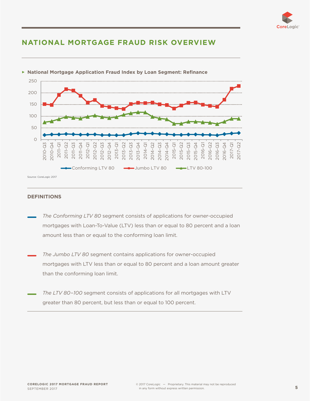

### **NATIONAL MORTGAGE FRAUD RISK OVERVIEW**

2. 74x6.12



#### ► **National Mortgage Application Fraud Index by Loan Segment: Refinance**

#### **DEFINITIONS**

- *The Conforming LTV 80* segment consists of applications for owner-occupied mortgages with Loan-To-Value (LTV) less than or equal to 80 percent and a loan amount less than or equal to the conforming loan limit.
- *The Jumbo LTV 80* segment contains applications for owner-occupied mortgages with LTV less than or equal to 80 percent and a loan amount greater than the conforming loan limit.
- *The LTV 80–100* segment consists of applications for all mortgages with LTV greater than 80 percent, but less than or equal to 100 percent.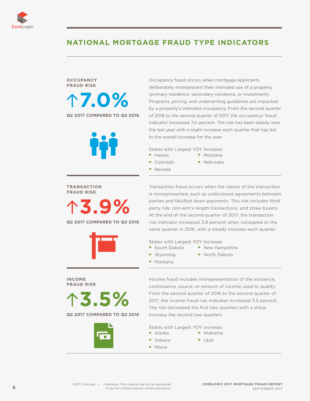<span id="page-7-0"></span>

### **NATIONAL MORTGAGE FRAUD TYPE INDICATORS**

#### **OCCUPANCY FRAUD RISK**

**7.0% Q2 2017 COMPARED TO Q2 2016**

**TRANSACTION FRAUD RISK** 

**3.9%**

**Q2 2017 COMPARED TO Q2 2016**



Occupancy fraud occurs when mortgage applicants deliberately misrepresent their intended use of a property (primary residence, secondary residence, or investment). Programs, pricing, and underwriting guidelines are impacted by a property's intended occupancy. From the second quarter of 2016 to the second quarter of 2017, the occupancy- fraud indicator increased 7.0 percent. The risk has been steady over the last year with a slight increase each quarter that has led to the overall increase for the year.

States with Largest YOY Increase:

- ► Hawaii
- ► Montana ► Nebraska
- ► Colorado ► Nevada

Transaction fraud occurs when the nature of the transaction is misrepresented, such as undisclosed agreements between parties and falsified down payments. This risk includes third party risk, non-arm's length transactions, and straw buyers. At the end of the second quarter of 2017, the transaction risk indicator increased 3.9 percent when compared to the same quarter in 2016, with a steady increase each quarter.

States with Largest YOY Increase:

- ► South Dakota
- ► Wyoming
- ► North Dakota

► New Hampshire

► Montana

**INCOME FRAUD RISK**

**3.5%**

**Q2 2017 COMPARED TO Q2 2016**



Income fraud includes misrepresentation of the existence, continuance, source, or amount of income used to qualify. From the second quarter of 2016 to the second quarter of 2017, the income fraud risk indicator increased 3.5 percent. The risk decreased the first two quarters with a sharp increase the second two quarters.

|                              |  |  | States with Largest YOY Increase: |
|------------------------------|--|--|-----------------------------------|
| $\blacktriangleright$ Alaska |  |  | $\blacktriangleright$ Alabama     |

- ► Alabama
	- ► Utah
- ► Indiana ► Maine

**CORELOGIC 2017 MORTGAGE FRAUD REPORT** SEPTEMBER 2017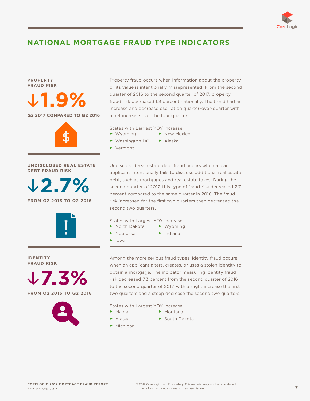

# **NATIONAL MORTGAGE FRAUD TYPE INDICATORS**



**IDENTITY FRAUD RISK**





Property fraud occurs when information about the property or its value is intentionally misrepresented. From the second quarter of 2016 to the second quarter of 2017, property fraud risk decreased 1.9 percent nationally. The trend had an increase and decrease oscillation quarter-over-quarter with a net increase over the four quarters.

States with Largest YOY Increase:

- ► New Mexico
- ► Washington DC ► Alaska
- ► Vermont

► Wyoming

Undisclosed real estate debt fraud occurs when a loan applicant intentionally fails to disclose additional real estate debt, such as mortgages and real estate taxes. During the second quarter of 2017, this type of fraud risk decreased 2.7 percent compared to the same quarter in 2016. The fraud risk increased for the first two quarters then decreased the second two quarters.

► Wyoming

States with Largest YOY Increase:

- ► North Dakota
- ► Nebraska
- ► Indiana
- ► Iowa

Among the more serious fraud types, identity fraud occurs when an applicant alters, creates, or uses a stolen identity to obtain a mortgage. The indicator measuring identity fraud risk decreased 7.3 percent from the second quarter of 2016 to the second quarter of 2017, with a slight increase the first two quarters and a steep decrease the second two quarters.

States with Largest YOY Increase:

- ► Maine
- ► Montana
- 
- ► Alaska ► Michigan
- ► South Dakota
-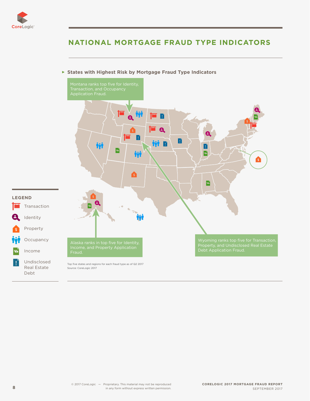

## **NATIONAL MORTGAGE FRAUD TYPE INDICATORS**



#### ► **States with Highest Risk by Mortgage Fraud Type Indicators**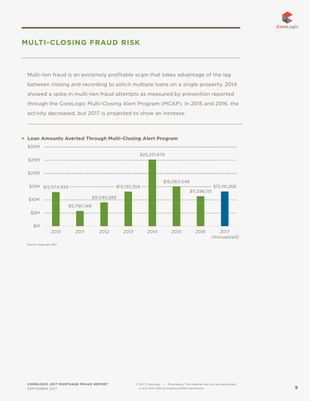

### **MULTI-CLOSING FRAUD RISK**

Multi-lien fraud is an extremely profitable scam that takes advantage of the lag between closing and recording to solicit multiple loans on a single property. 2014 showed a spike in multi-lien fraud attempts as measured by prevention reported through the CoreLogic Multi-Closing Alert Program (MCAP). In 2015 and 2016, the activity decreased, but 2017 is projected to show an increase.



#### ► **Loan Amounts Averted Through Multi-Closing Alert Program**

Source: CoreLogic 2017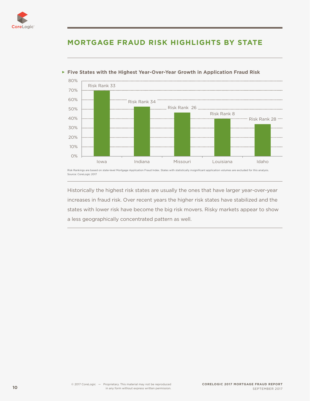<span id="page-11-0"></span>

### **MORTGAGE FRAUD RISK HIGHLIGHTS BY STATE**

2.53x6.13



#### ► **Five States with the Highest Year-Over-Year Growth in Application Fraud Risk**

Risk Rankings are based on state-level Mortgage Application Fraud Index. States with statistically insignificant application volumes are excluded for this analysis. Source: CoreLogic 2017

Historically the highest risk states are usually the ones that have larger year-over-year increases in fraud risk. Over recent years the higher risk states have stabilized and the states with lower risk have become the big risk movers. Risky markets appear to show a less geographically concentrated pattern as well.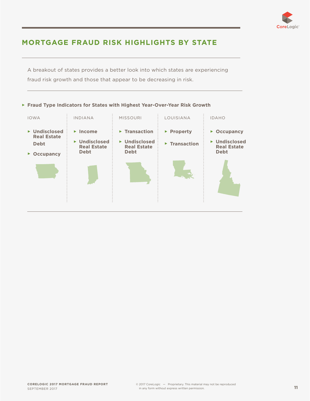

# **MORTGAGE FRAUD RISK HIGHLIGHTS BY STATE**

A breakout of states provides a better look into which states are experiencing fraud risk growth and those that appear to be decreasing in risk.



► **Fraud Type Indicators for States with Highest Year-Over-Year Risk Growth**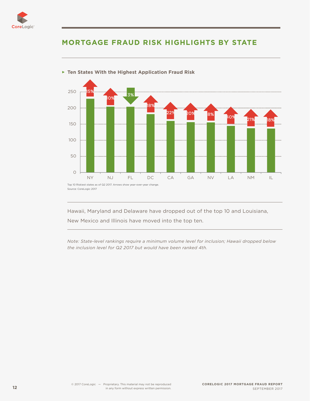

### **MORTGAGE FRAUD RISK HIGHLIGHTS BY STATE**

2.95x6.12



#### ► **Ten States With the Highest Application Fraud Risk**

Hawaii, Maryland and Delaware have dropped out of the top 10 and Louisiana,

New Mexico and Illinois have moved into the top ten.

*Note: State-level rankings require a minimum volume level for inclusion; Hawaii dropped below the inclusion level for Q2 2017 but would have been ranked 4th.*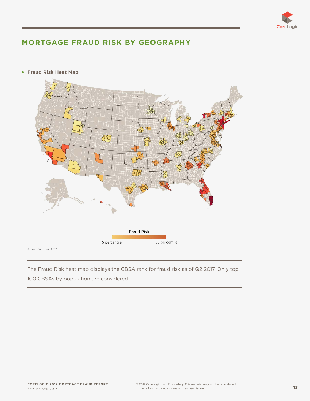

### **MORTGAGE FRAUD RISK BY GEOGRAPHY**

#### ► **Fraud Risk Heat Map**



The Fraud Risk heat map displays the CBSA rank for fraud risk as of Q2 2017. Only top 100 CBSAs by population are considered.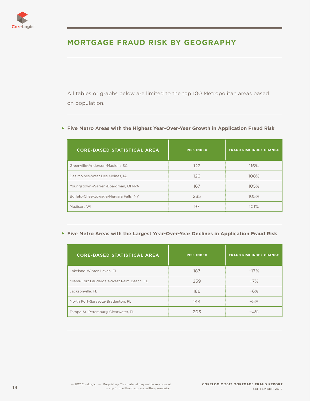<span id="page-15-0"></span>

## **MORTGAGE FRAUD RISK BY GEOGRAPHY**

All tables or graphs below are limited to the top 100 Metropolitan areas based on population.

#### ► **Five Metro Areas with the Highest Year-Over-Year Growth in Application Fraud Risk**

| <b>CORE-BASED STATISTICAL AREA</b>    | <b>RISK INDEX</b> | <b>FRAUD RISK INDEX CHANGE</b> |
|---------------------------------------|-------------------|--------------------------------|
| Greenville-Anderson-Mauldin, SC       | 122               | 116%                           |
| Des Moines-West Des Moines, IA        | 126               | 108%                           |
| Youngstown-Warren-Boardman, OH-PA     | 167               | 105%                           |
| Buffalo-Cheektowaga-Niagara Falls, NY | 235               | 105%                           |
| Madison, WI                           | 97                | 101%                           |

► **Five Metro Areas with the Largest Year-Over-Year Declines in Application Fraud Risk**

| <b>CORE-BASED STATISTICAL AREA</b>        | <b>RISK INDEX</b> | <b>FRAUD RISK INDEX CHANGE</b> |
|-------------------------------------------|-------------------|--------------------------------|
| Lakeland-Winter Haven, FL                 | 187               | $-17%$                         |
| Miami-Fort Lauderdale-West Palm Beach, FL | 259               | $-7%$                          |
| Jacksonville, FL                          | 186               | $-6%$                          |
| North Port-Sarasota-Bradenton, FL         | 144               | $-5%$                          |
| Tampa-St. Petersburg-Clearwater, FL       | 205               | $-4%$                          |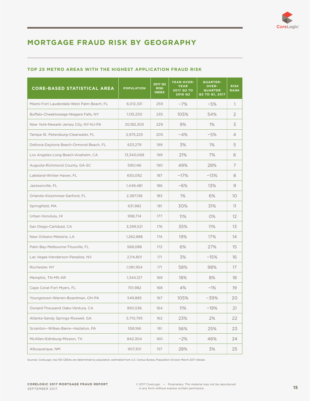

## **MORTGAGE FRAUD RISK BY GEOGRAPHY**

| <b>CORE-BASED STATISTICAL AREA</b>        | <b>POPULATION</b> | 2017 Q2<br><b>RISK</b><br><b>INDEX</b> | YEAR-OVER-<br><b>YEAR</b><br>2017 Q2 TO<br>2016 Q2 | <b>QUARTER-</b><br>OVER-<br><b>QUARTER</b><br>Q2 TO Q1, 2017 | <b>RISK</b><br><b>RANK</b> |
|-------------------------------------------|-------------------|----------------------------------------|----------------------------------------------------|--------------------------------------------------------------|----------------------------|
| Miami-Fort Lauderdale-West Palm Beach, FL | 6,012,331         | 259                                    | $-7%$                                              | $-5%$                                                        | 1                          |
| Buffalo-Cheektowaga-Niagara Falls, NY     | 1,135,230         | 235                                    | 105%                                               | 54%                                                          | $\overline{2}$             |
| New York-Newark-Jersey City, NY-NJ-PA     | 20,182,305        | 229                                    | 9%                                                 | $1\%$                                                        | 3                          |
| Tampa-St. Petersburg-Clearwater, FL       | 2,975,225         | 205                                    | $-4%$                                              | $-5%$                                                        | 4                          |
| Deltona-Daytona Beach-Ormond Beach, FL    | 623,279           | 199                                    | 3%                                                 | 1%                                                           | 5                          |
| Los Angeles-Long Beach-Anaheim, CA        | 13,340,068        | 199                                    | 21%                                                | 7%                                                           | 6                          |
| Augusta-Richmond County, GA-SC            | 590,146           | 190                                    | 49%                                                | 28%                                                          | 7                          |
| Lakeland-Winter Haven, FL                 | 650,092           | 187                                    | $-17%$                                             | $-13%$                                                       | 8                          |
| Jacksonville, FL                          | 1,449,481         | 186                                    | $-6%$                                              | 13%                                                          | 9                          |
| Orlando-Kissimmee-Sanford, FL             | 2.387.138         | 183                                    | 1%                                                 | 6%                                                           | 10                         |
| Springfield, MA                           | 631,982           | 181                                    | 30%                                                | 31%                                                          | 11                         |
| Urban Honolulu, HI                        | 998.714           | 177                                    | 11%                                                | O%                                                           | 12                         |
| San Diego-Carlsbad, CA                    | 3,299,521         | 176                                    | 35%                                                | 11%                                                          | 13                         |
| New Orleans-Metairie, LA                  | 1,262,888         | 174                                    | 19%                                                | 17%                                                          | 14                         |
| Palm Bay-Melbourne-Titusville, FL         | 568,088           | 172                                    | 6%                                                 | 27%                                                          | 15                         |
| Las Vegas-Henderson-Paradise, NV          | 2,114,801         | 171                                    | 3%                                                 | $-15%$                                                       | 16                         |
| Rochester, NY                             | 1,081,954         | 171                                    | 58%                                                | 98%                                                          | 17                         |
| Memphis, TN-MS-AR                         | 1,344,127         | 169                                    | 18%                                                | 8%                                                           | 18                         |
| Cape Coral-Fort Myers, FL                 | 701,982           | 168                                    | 4%                                                 | $-1\%$                                                       | 19                         |
| Youngstown-Warren-Boardman, OH-PA         | 549.885           | 167                                    | 105%                                               | $-39%$                                                       | 20                         |
| Oxnard-Thousand Oaks-Ventura, CA          | 850,536           | 164                                    | 11%                                                | $-19%$                                                       | 21                         |
| Atlanta-Sandy Springs-Roswell, GA         | 5,710,795         | 162                                    | 23%                                                | 2%                                                           | 22                         |
| Scranton--Wilkes-Barre--Hazleton, PA      | 558,166           | 161                                    | 56%                                                | 25%                                                          | 23                         |
| McAllen-Edinburg-Mission, TX              | 842,304           | 160                                    | $-2%$                                              | 46%                                                          | 24                         |
| Albuquerque, NM                           | 907,301           | 157                                    | 28%                                                | 3%                                                           | 25                         |

#### **TOP 25 METRO AREAS WITH THE HIGHEST APPLICATION FRAUD RISK**

Sources: CoreLogic; top 100 CBSAs are determined by population, estimated from U.S. Census Bureau Population Division March 2017 release.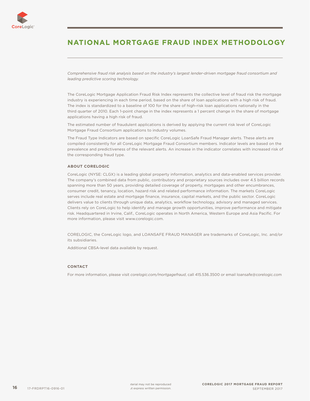

### **NATIONAL MORTGAGE FRAUD INDEX METHODOLOGY**

*Comprehensive fraud risk analysis based on the industry's largest lender-driven mortgage fraud consortium and leading predictive scoring technology.*

The CoreLogic Mortgage Application Fraud Risk Index represents the collective level of fraud risk the mortgage industry is experiencing in each time period, based on the share of loan applications with a high risk of fraud. The index is standardized to a baseline of 100 for the share of high-risk loan applications nationally in the third quarter of 2010. Each 1-point change in the index represents a 1 percent change in the share of mortgage applications having a high risk of fraud.

The estimated number of fraudulent applications is derived by applying the current risk level of CoreLogic Mortgage Fraud Consortium applications to industry volumes.

The Fraud Type Indicators are based on specific CoreLogic LoanSafe Fraud Manager alerts. These alerts are compiled consistently for all CoreLogic Mortgage Fraud Consortium members. Indicator levels are based on the prevalence and predictiveness of the relevant alerts. An increase in the indicator correlates with increased risk of the corresponding fraud type.

#### **ABOUT CORELOGIC**

CoreLogic (NYSE: CLGX) is a leading global property information, analytics and data-enabled services provider. The company's combined data from public, contributory and proprietary sources includes over 4.5 billion records spanning more than 50 years, providing detailed coverage of property, mortgages and other encumbrances, consumer credit, tenancy, location, hazard risk and related performance information. The markets CoreLogic serves include real estate and mortgage finance, insurance, capital markets, and the public sector. CoreLogic delivers value to clients through unique data, analytics, workflow technology, advisory and managed services. Clients rely on CoreLogic to help identify and manage growth opportunities, improve performance and mitigate risk. Headquartered in Irvine, Calif., CoreLogic operates in North America, Western Europe and Asia Pacific. For more information, please visit www.corelogic.com.

CORELOGIC, the CoreLogic logo, and LOANSAFE FRAUD MANAGER are trademarks of CoreLogic, Inc. and/or its subsidiaries.

Additional CBSA-level data available by request.

#### **CONTACT**

For more information, please visit *[corelogic.com/mortgagefraud](http://www.corelogic.com/mortgagefraud)*, call 415.536.3500 or email l[oansafe@corelogic.com](mailto:LoanSafe@corelogic.com)